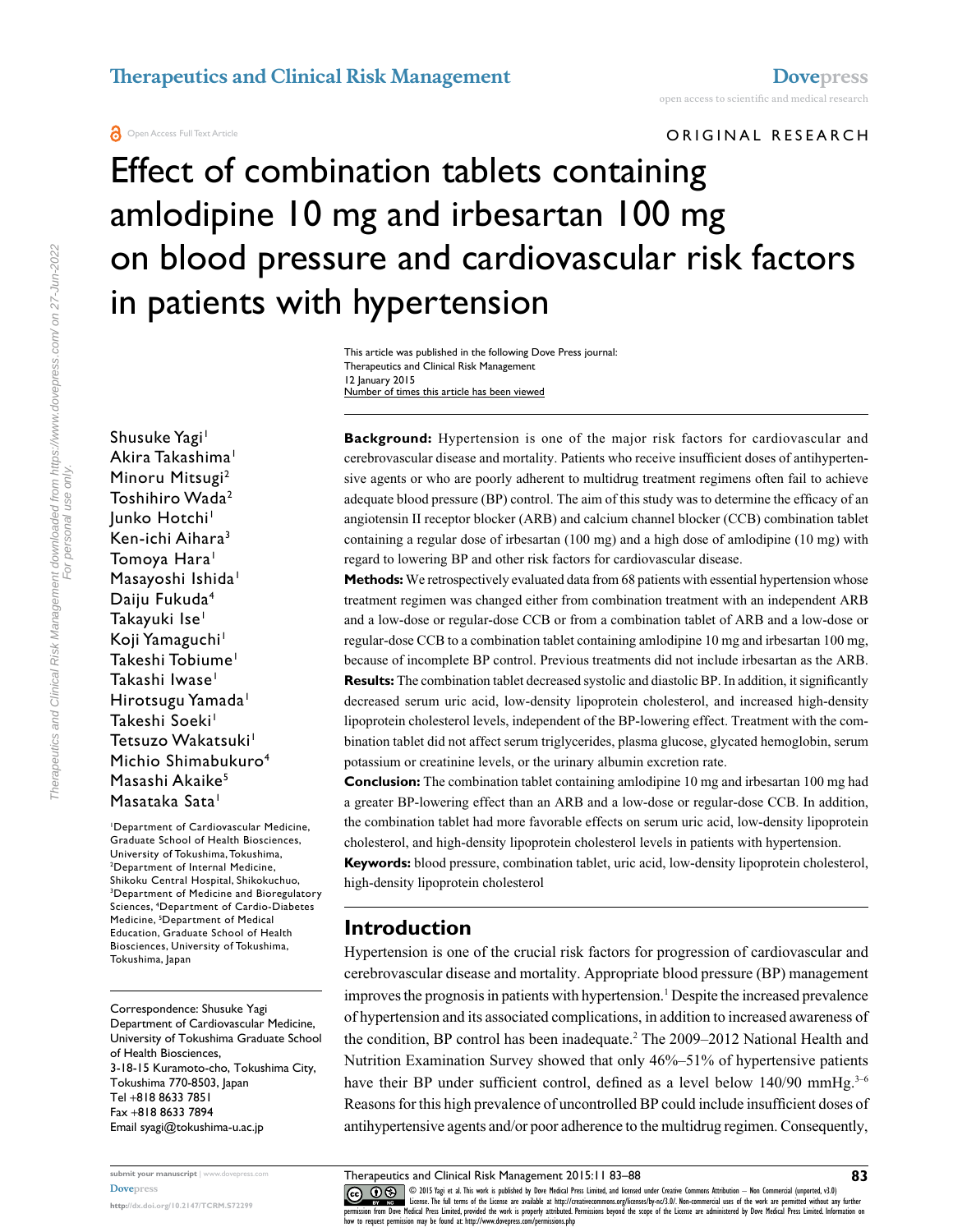**A** Open Access Full Text Article

ORIGINAL RESEARCH

# Effect of combination tablets containing amlodipine 10 mg and irbesartan 100 mg on blood pressure and cardiovascular risk factors in patients with hypertension

This article was published in the following Dove Press journal: Therapeutics and Clinical Risk Management 12 January 2015 Number of times this article has been viewed

Shusuke Yagi<sup>1</sup> Akira Takashima<sup>1</sup> Minoru Mitsugi<sup>2</sup> Toshihiro Wada2 lunko Hotchi<sup>1</sup> Ken-ichi Aihara<sup>3</sup> Tomoya Hara<sup>1</sup> Masayoshi Ishida<sup>1</sup> Daiju Fukuda4 Takayuki Ise<sup>1</sup> Koji Yamaguchi<sup>1</sup> Takeshi Tobiume<sup>1</sup> Takashi Iwase<sup>1</sup> Hirotsugu Yamada<sup>1</sup> Takeshi Soeki<sup>1</sup> Tetsuzo Wakatsuki<sup>1</sup> Michio Shimabukuro<sup>4</sup> Masashi Akaike<sup>5</sup> Masataka Sata<sup>1</sup>

1 Department of Cardiovascular Medicine, Graduate School of Health Biosciences, University of Tokushima, Tokushima, 2 Department of Internal Medicine, Shikoku Central Hospital, Shikokuchuo, Department of Medicine and Bioregulatory Sciences, 4 Department of Cardio-Diabetes Medicine, <sup>5</sup>Department of Medical Education, Graduate School of Health Biosciences, University of Tokushima, Tokushima, Japan

Correspondence: Shusuke Yagi Department of Cardiovascular Medicine, University of Tokushima Graduate School of Health Biosciences, 3-18-15 Kuramoto-cho, Tokushima City, Tokushima 770-8503, Japan Tel +818 8633 7851 Fax +818 8633 7894 Email [syagi@tokushima-u.ac.jp](mailto:syagi@tokushima-u.ac.jp)

**submit your manuscript** | <www.dovepress.com> **[Dovepress](www.dovepress.com)**

**<http://dx.doi.org/10.2147/TCRM.S72299>**

**Background:** Hypertension is one of the major risk factors for cardiovascular and cerebrovascular disease and mortality. Patients who receive insufficient doses of antihypertensive agents or who are poorly adherent to multidrug treatment regimens often fail to achieve adequate blood pressure (BP) control. The aim of this study was to determine the efficacy of an angiotensin II receptor blocker (ARB) and calcium channel blocker (CCB) combination tablet containing a regular dose of irbesartan (100 mg) and a high dose of amlodipine (10 mg) with regard to lowering BP and other risk factors for cardiovascular disease.

**Methods:** We retrospectively evaluated data from 68 patients with essential hypertension whose treatment regimen was changed either from combination treatment with an independent ARB and a low-dose or regular-dose CCB or from a combination tablet of ARB and a low-dose or regular-dose CCB to a combination tablet containing amlodipine 10 mg and irbesartan 100 mg, because of incomplete BP control. Previous treatments did not include irbesartan as the ARB.

**Results:** The combination tablet decreased systolic and diastolic BP. In addition, it significantly decreased serum uric acid, low-density lipoprotein cholesterol, and increased high-density lipoprotein cholesterol levels, independent of the BP-lowering effect. Treatment with the combination tablet did not affect serum triglycerides, plasma glucose, glycated hemoglobin, serum potassium or creatinine levels, or the urinary albumin excretion rate.

**Conclusion:** The combination tablet containing amlodipine 10 mg and irbesartan 100 mg had a greater BP-lowering effect than an ARB and a low-dose or regular-dose CCB. In addition, the combination tablet had more favorable effects on serum uric acid, low-density lipoprotein cholesterol, and high-density lipoprotein cholesterol levels in patients with hypertension.

**Keywords:** blood pressure, combination tablet, uric acid, low-density lipoprotein cholesterol, high-density lipoprotein cholesterol

#### **Introduction**

Hypertension is one of the crucial risk factors for progression of cardiovascular and cerebrovascular disease and mortality. Appropriate blood pressure (BP) management improves the prognosis in patients with hypertension.<sup>1</sup> Despite the increased prevalence of hypertension and its associated complications, in addition to increased awareness of the condition, BP control has been inadequate.<sup>2</sup> The 2009–2012 National Health and Nutrition Examination Survey showed that only 46%–51% of hypertensive patients have their BP under sufficient control, defined as a level below  $140/90$  mmHg.<sup>3-6</sup> Reasons for this high prevalence of uncontrolled BP could include insufficient doses of antihypertensive agents and/or poor adherence to the multidrug regimen. Consequently,

Therapeutics and Clinical Risk Management 2015:11 83–88

CO OD 15 Yagi et al. This work is published by Dove Medical Press Limited, and licensed under Creative Commons Attribution - Non Commercial (unported, v3.0)<br> [permission from Dove M](http://www.dovepress.com/permissions.php)edical Press Limited, provided the work is how to request permission may be found at: http://www.dovepress.com/permissions.php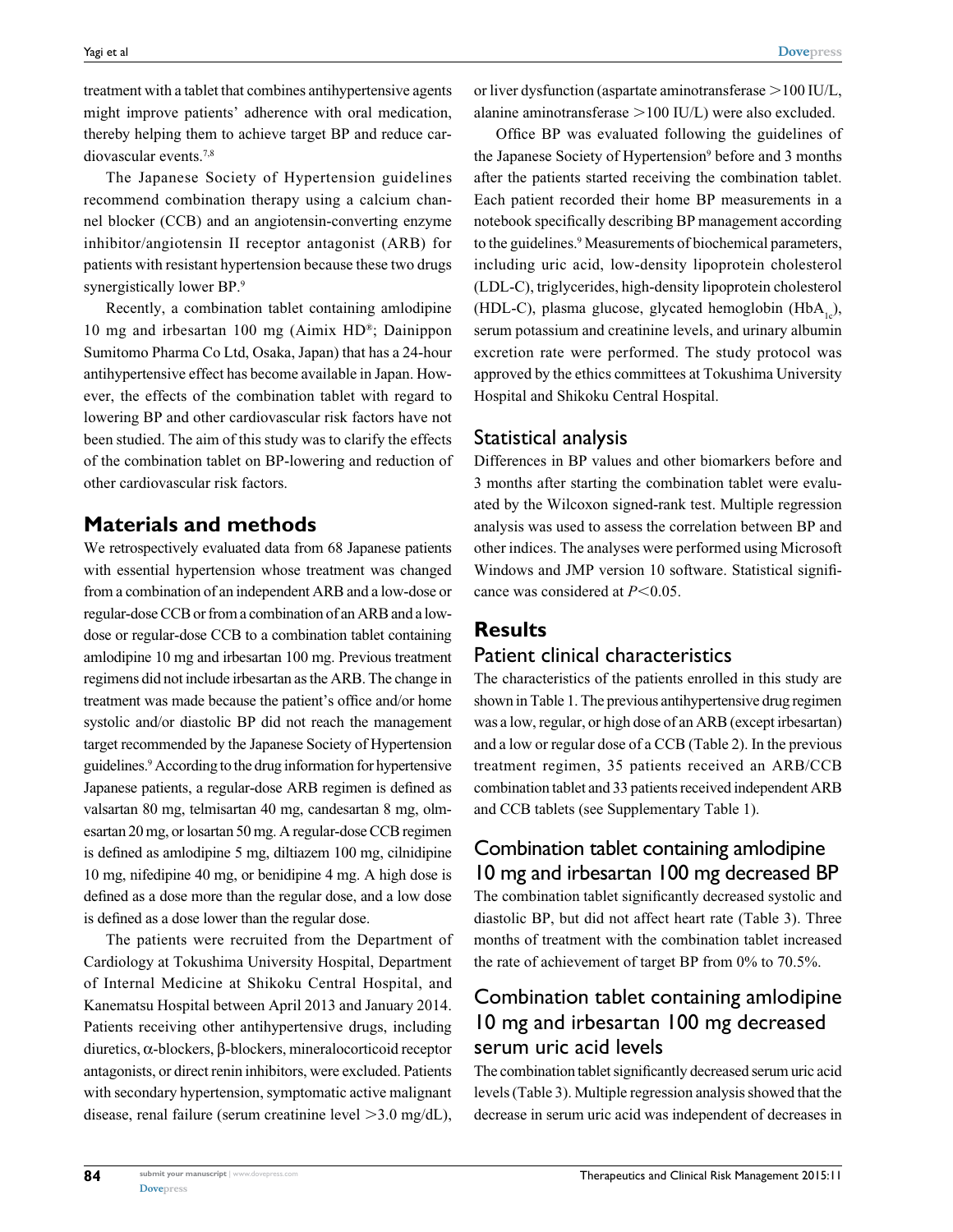treatment with a tablet that combines antihypertensive agents might improve patients' adherence with oral medication, thereby helping them to achieve target BP and reduce cardiovascular events.7,8

The Japanese Society of Hypertension guidelines recommend combination therapy using a calcium channel blocker (CCB) and an angiotensin-converting enzyme inhibitor/angiotensin II receptor antagonist (ARB) for patients with resistant hypertension because these two drugs synergistically lower BP.<sup>9</sup>

Recently, a combination tablet containing amlodipine 10 mg and irbesartan 100 mg (Aimix HD®; Dainippon Sumitomo Pharma Co Ltd, Osaka, Japan) that has a 24-hour antihypertensive effect has become available in Japan. However, the effects of the combination tablet with regard to lowering BP and other cardiovascular risk factors have not been studied. The aim of this study was to clarify the effects of the combination tablet on BP-lowering and reduction of other cardiovascular risk factors.

## **Materials and methods**

We retrospectively evaluated data from 68 Japanese patients with essential hypertension whose treatment was changed from a combination of an independent ARB and a low-dose or regular-dose CCB or from a combination of an ARB and a lowdose or regular-dose CCB to a combination tablet containing amlodipine 10 mg and irbesartan 100 mg. Previous treatment regimens did not include irbesartan as the ARB. The change in treatment was made because the patient's office and/or home systolic and/or diastolic BP did not reach the management target recommended by the Japanese Society of Hypertension guidelines.<sup>9</sup> According to the drug information for hypertensive Japanese patients, a regular-dose ARB regimen is defined as valsartan 80 mg, telmisartan 40 mg, candesartan 8 mg, olmesartan 20 mg, or losartan 50 mg. A regular-dose CCB regimen is defined as amlodipine 5 mg, diltiazem 100 mg, cilnidipine 10 mg, nifedipine 40 mg, or benidipine 4 mg. A high dose is defined as a dose more than the regular dose, and a low dose is defined as a dose lower than the regular dose.

The patients were recruited from the Department of Cardiology at Tokushima University Hospital, Department of Internal Medicine at Shikoku Central Hospital, and Kanematsu Hospital between April 2013 and January 2014. Patients receiving other antihypertensive drugs, including diuretics, α-blockers, β-blockers, mineralocorticoid receptor antagonists, or direct renin inhibitors, were excluded. Patients with secondary hypertension, symptomatic active malignant disease, renal failure (serum creatinine level  $>3.0$  mg/dL), or liver dysfunction (aspartate aminotransferase  $>100$  IU/L, alanine aminotransferase  $>100$  IU/L) were also excluded.

Office BP was evaluated following the guidelines of the Japanese Society of Hypertension<sup>9</sup> before and 3 months after the patients started receiving the combination tablet. Each patient recorded their home BP measurements in a notebook specifically describing BP management according to the guidelines.<sup>9</sup> Measurements of biochemical parameters, including uric acid, low-density lipoprotein cholesterol (LDL-C), triglycerides, high-density lipoprotein cholesterol (HDL-C), plasma glucose, glycated hemoglobin (HbA<sub>1c</sub>), serum potassium and creatinine levels, and urinary albumin excretion rate were performed. The study protocol was approved by the ethics committees at Tokushima University Hospital and Shikoku Central Hospital.

#### Statistical analysis

Differences in BP values and other biomarkers before and 3 months after starting the combination tablet were evaluated by the Wilcoxon signed-rank test. Multiple regression analysis was used to assess the correlation between BP and other indices. The analyses were performed using Microsoft Windows and JMP version 10 software. Statistical significance was considered at  $P<0.05$ .

#### **Results**

#### Patient clinical characteristics

The characteristics of the patients enrolled in this study are shown in Table 1. The previous antihypertensive drug regimen was a low, regular, or high dose of an ARB (except irbesartan) and a low or regular dose of a CCB (Table 2). In the previous treatment regimen, 35 patients received an ARB/CCB combination tablet and 33 patients received independent ARB and CCB tablets (see Supplementary Table 1).

## Combination tablet containing amlodipine 10 mg and irbesartan 100 mg decreased BP

The combination tablet significantly decreased systolic and diastolic BP, but did not affect heart rate (Table 3). Three months of treatment with the combination tablet increased the rate of achievement of target BP from 0% to 70.5%.

## Combination tablet containing amlodipine 10 mg and irbesartan 100 mg decreased serum uric acid levels

The combination tablet significantly decreased serum uric acid levels (Table 3). Multiple regression analysis showed that the decrease in serum uric acid was independent of decreases in

**[Dovepress](www.dovepress.com)**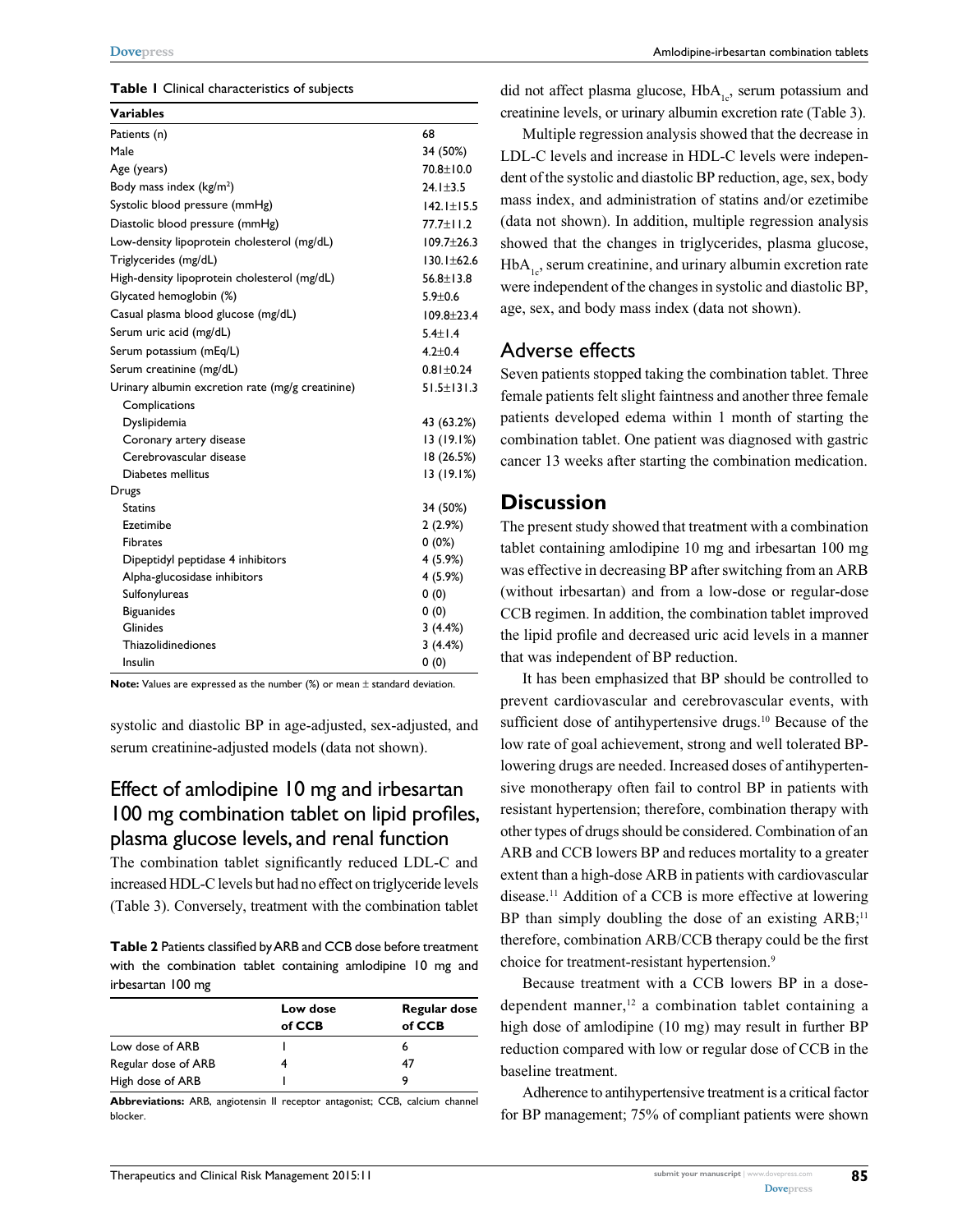#### **Table 1** Clinical characteristics of subjects

| <b>Variables</b>                                 |                  |
|--------------------------------------------------|------------------|
| Patients (n)                                     | 68               |
| Male                                             | 34 (50%)         |
| Age (years)                                      | 70.8±10.0        |
| Body mass index (kg/m <sup>2</sup> )             | $24.1 \pm 3.5$   |
| Systolic blood pressure (mmHg)                   | $142.1 \pm 15.5$ |
| Diastolic blood pressure (mmHg)                  | 77.7±11.2        |
| Low-density lipoprotein cholesterol (mg/dL)      | $109.7 \pm 26.3$ |
| Triglycerides (mg/dL)                            | $130.1 + 62.6$   |
| High-density lipoprotein cholesterol (mg/dL)     | $56.8 \pm 13.8$  |
| Glycated hemoglobin (%)                          | $5.9 + 0.6$      |
| Casual plasma blood glucose (mg/dL)              | $109.8 + 23.4$   |
| Serum uric acid (mg/dL)                          | $5.4 \pm 1.4$    |
| Serum potassium (mEq/L)                          | $4.2 + 0.4$      |
| Serum creatinine (mg/dL)                         | $0.81 \pm 0.24$  |
| Urinary albumin excretion rate (mg/g creatinine) | $51.5 \pm 131.3$ |
| Complications                                    |                  |
| Dyslipidemia                                     | 43 (63.2%)       |
| Coronary artery disease                          | 13(19.1%)        |
| Cerebrovascular disease                          | 18 (26.5%)       |
| Diabetes mellitus                                | 13(19.1%)        |
| Drugs                                            |                  |
| <b>Statins</b>                                   | 34 (50%)         |
| Ezetimibe                                        | 2(2.9%)          |
| <b>Fibrates</b>                                  | $0(0\%)$         |
| Dipeptidyl peptidase 4 inhibitors                | 4 (5.9%)         |
| Alpha-glucosidase inhibitors                     | 4 (5.9%)         |
| Sulfonylureas                                    | 0(0)             |
| <b>Biguanides</b>                                | 0(0)             |
| Glinides                                         | 3(4.4%)          |
| Thiazolidinediones                               | 3(4.4%)          |
| Insulin                                          | 0(0)             |

**Note:** Values are expressed as the number (%) or mean  $\pm$  standard deviation.

systolic and diastolic BP in age-adjusted, sex-adjusted, and serum creatinine-adjusted models (data not shown).

# Effect of amlodipine 10 mg and irbesartan 100 mg combination tablet on lipid profiles, plasma glucose levels, and renal function

The combination tablet significantly reduced LDL-C and increased HDL-C levels but had no effect on triglyceride levels (Table 3). Conversely, treatment with the combination tablet

**Table 2** Patients classified by ARB and CCB dose before treatment with the combination tablet containing amlodipine 10 mg and irbesartan 100 mg

|                     | Low dose<br>of CCB | <b>Regular dose</b><br>of CCB |
|---------------------|--------------------|-------------------------------|
| Low dose of ARB     |                    |                               |
| Regular dose of ARB |                    | 47                            |
| High dose of ARB    |                    | 9                             |

**Abbreviations:** ARB, angiotensin II receptor antagonist; CCB, calcium channel blocker.

did not affect plasma glucose,  $HbA_{1c}$ , serum potassium and creatinine levels, or urinary albumin excretion rate (Table 3).

Multiple regression analysis showed that the decrease in LDL-C levels and increase in HDL-C levels were independent of the systolic and diastolic BP reduction, age, sex, body mass index, and administration of statins and/or ezetimibe (data not shown). In addition, multiple regression analysis showed that the changes in triglycerides, plasma glucose,  $HbA<sub>1c</sub>$ , serum creatinine, and urinary albumin excretion rate were independent of the changes in systolic and diastolic BP, age, sex, and body mass index (data not shown).

#### Adverse effects

Seven patients stopped taking the combination tablet. Three female patients felt slight faintness and another three female patients developed edema within 1 month of starting the combination tablet. One patient was diagnosed with gastric cancer 13 weeks after starting the combination medication.

#### **Discussion**

The present study showed that treatment with a combination tablet containing amlodipine 10 mg and irbesartan 100 mg was effective in decreasing BP after switching from an ARB (without irbesartan) and from a low-dose or regular-dose CCB regimen. In addition, the combination tablet improved the lipid profile and decreased uric acid levels in a manner that was independent of BP reduction.

It has been emphasized that BP should be controlled to prevent cardiovascular and cerebrovascular events, with sufficient dose of antihypertensive drugs.<sup>10</sup> Because of the low rate of goal achievement, strong and well tolerated BPlowering drugs are needed. Increased doses of antihypertensive monotherapy often fail to control BP in patients with resistant hypertension; therefore, combination therapy with other types of drugs should be considered. Combination of an ARB and CCB lowers BP and reduces mortality to a greater extent than a high-dose ARB in patients with cardiovascular disease.11 Addition of a CCB is more effective at lowering BP than simply doubling the dose of an existing  $ARB$ ;<sup>11</sup> therefore, combination ARB/CCB therapy could be the first choice for treatment-resistant hypertension.<sup>9</sup>

Because treatment with a CCB lowers BP in a dosedependent manner, $12$  a combination tablet containing a high dose of amlodipine (10 mg) may result in further BP reduction compared with low or regular dose of CCB in the baseline treatment.

Adherence to antihypertensive treatment is a critical factor for BP management; 75% of compliant patients were shown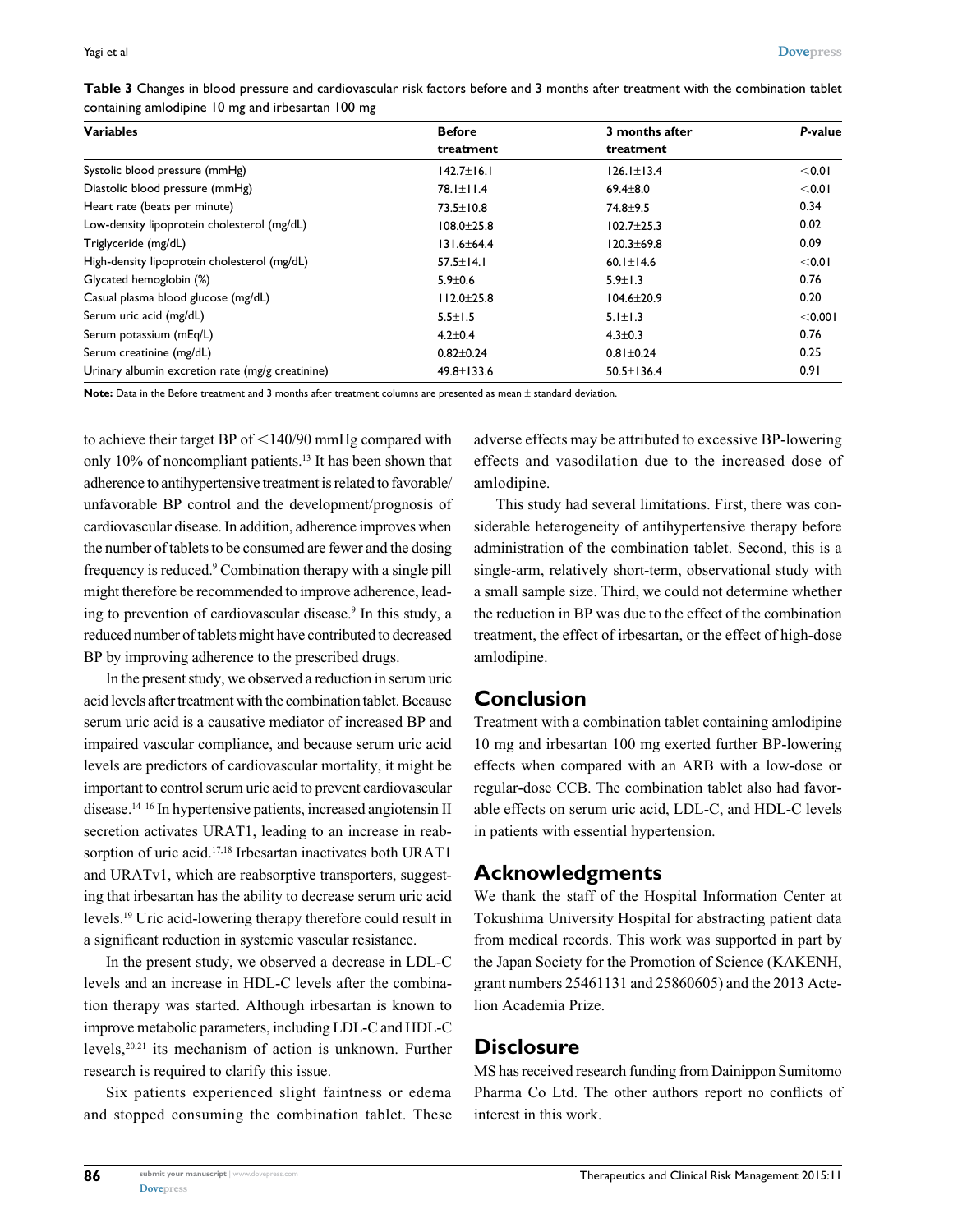| <b>Variables</b>                                 | <b>Before</b>    | 3 months after   | P-value |
|--------------------------------------------------|------------------|------------------|---------|
|                                                  | treatment        | treatment        |         |
| Systolic blood pressure (mmHg)                   | $142.7 \pm 16.1$ | $126.1 \pm 13.4$ | < 0.01  |
| Diastolic blood pressure (mmHg)                  | 78.1±11.4        | $69.4 \pm 8.0$   | < 0.01  |
| Heart rate (beats per minute)                    | $73.5 \pm 10.8$  | $74.8 + 9.5$     | 0.34    |
| Low-density lipoprotein cholesterol (mg/dL)      | $108.0 \pm 25.8$ | $102.7 + 25.3$   | 0.02    |
| Triglyceride (mg/dL)                             | $131.6 \pm 64.4$ | $120.3 + 69.8$   | 0.09    |
| High-density lipoprotein cholesterol (mg/dL)     | $57.5 \pm 14.1$  | 60.1 $\pm$ 14.6  | < 0.01  |
| Glycated hemoglobin (%)                          | $5.9 \pm 0.6$    | $5.9 \pm 1.3$    | 0.76    |
| Casual plasma blood glucose (mg/dL)              | $112.0 \pm 25.8$ | $104.6 \pm 20.9$ | 0.20    |
| Serum uric acid (mg/dL)                          | $5.5 \pm 1.5$    | $5.1 \pm 1.3$    | < 0.001 |
| Serum potassium (mEq/L)                          | $4.2 \pm 0.4$    | $4.3 \pm 0.3$    | 0.76    |
| Serum creatinine (mg/dL)                         | $0.82 \pm 0.24$  | $0.81 \pm 0.24$  | 0.25    |
| Urinary albumin excretion rate (mg/g creatinine) | $49.8 \pm 133.6$ | $50.5 \pm 136.4$ | 0.91    |

**Table 3** Changes in blood pressure and cardiovascular risk factors before and 3 months after treatment with the combination tablet containing amlodipine 10 mg and irbesartan 100 mg

**Note:** Data in the Before treatment and 3 months after treatment columns are presented as mean ± standard deviation.

to achieve their target BP of  $\leq$  140/90 mmHg compared with only 10% of noncompliant patients.13 It has been shown that adherence to antihypertensive treatment is related to favorable/ unfavorable BP control and the development/prognosis of cardiovascular disease. In addition, adherence improves when the number of tablets to be consumed are fewer and the dosing frequency is reduced.<sup>9</sup> Combination therapy with a single pill might therefore be recommended to improve adherence, leading to prevention of cardiovascular disease.<sup>9</sup> In this study, a reduced number of tablets might have contributed to decreased BP by improving adherence to the prescribed drugs.

In the present study, we observed a reduction in serum uric acid levels after treatment with the combination tablet. Because serum uric acid is a causative mediator of increased BP and impaired vascular compliance, and because serum uric acid levels are predictors of cardiovascular mortality, it might be important to control serum uric acid to prevent cardiovascular disease.14–16 In hypertensive patients, increased angiotensin II secretion activates URAT1, leading to an increase in reabsorption of uric acid.<sup>17,18</sup> Irbesartan inactivates both URAT1 and URATv1, which are reabsorptive transporters, suggesting that irbesartan has the ability to decrease serum uric acid levels.19 Uric acid-lowering therapy therefore could result in a significant reduction in systemic vascular resistance.

In the present study, we observed a decrease in LDL-C levels and an increase in HDL-C levels after the combination therapy was started. Although irbesartan is known to improve metabolic parameters, including LDL-C and HDL-C levels,20,21 its mechanism of action is unknown. Further research is required to clarify this issue.

Six patients experienced slight faintness or edema and stopped consuming the combination tablet. These adverse effects may be attributed to excessive BP-lowering effects and vasodilation due to the increased dose of amlodipine.

This study had several limitations. First, there was considerable heterogeneity of antihypertensive therapy before administration of the combination tablet. Second, this is a single-arm, relatively short-term, observational study with a small sample size. Third, we could not determine whether the reduction in BP was due to the effect of the combination treatment, the effect of irbesartan, or the effect of high-dose amlodipine.

## **Conclusion**

Treatment with a combination tablet containing amlodipine 10 mg and irbesartan 100 mg exerted further BP-lowering effects when compared with an ARB with a low-dose or regular-dose CCB. The combination tablet also had favorable effects on serum uric acid, LDL-C, and HDL-C levels in patients with essential hypertension.

## **Acknowledgments**

We thank the staff of the Hospital Information Center at Tokushima University Hospital for abstracting patient data from medical records. This work was supported in part by the Japan Society for the Promotion of Science (KAKENH, grant numbers 25461131 and 25860605) and the 2013 Actelion Academia Prize.

## **Disclosure**

MS has received research funding from Dainippon Sumitomo Pharma Co Ltd. The other authors report no conflicts of interest in this work.

**86**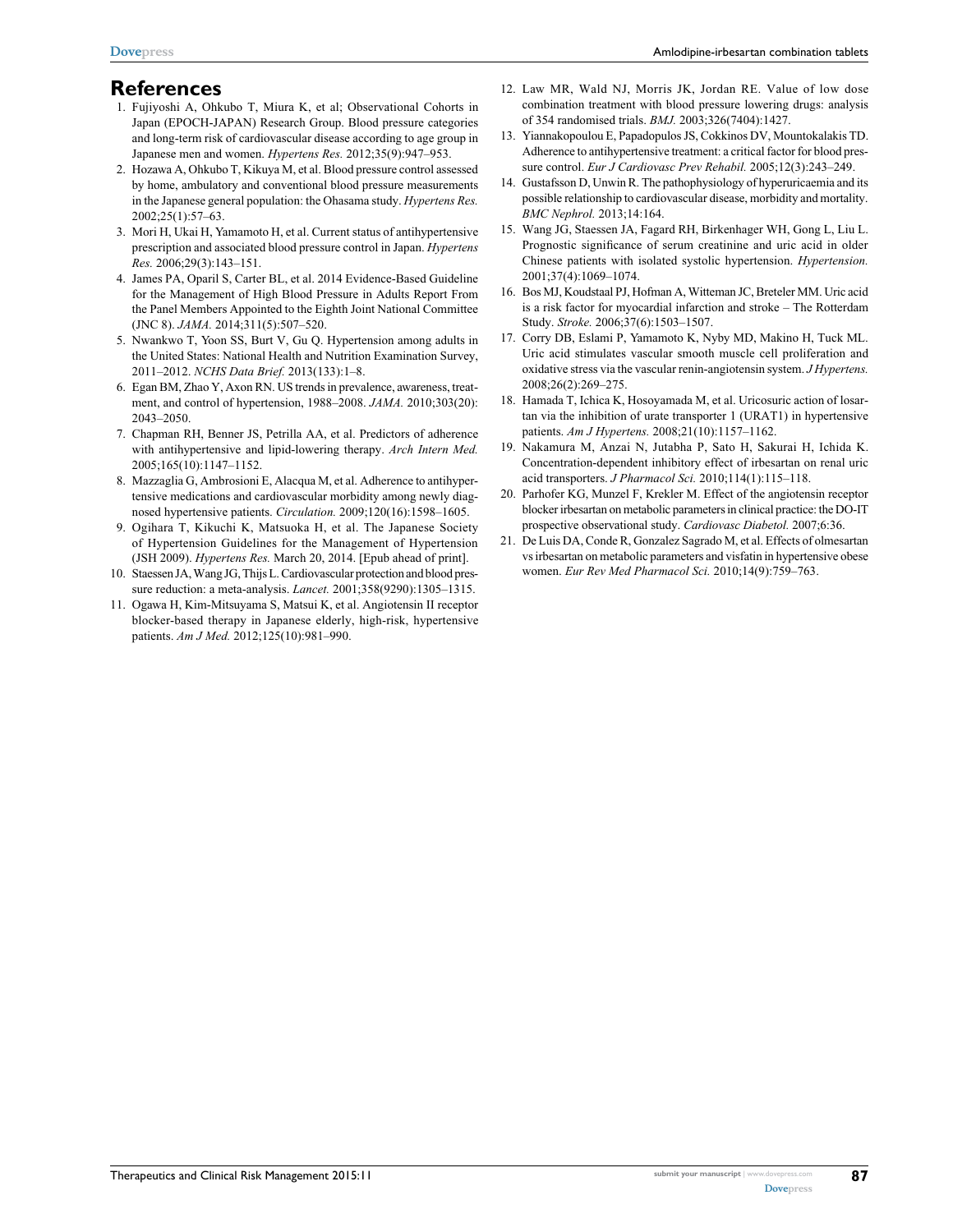## **References**

- 1. Fujiyoshi A, Ohkubo T, Miura K, et al; Observational Cohorts in Japan (EPOCH-JAPAN) Research Group. Blood pressure categories and long-term risk of cardiovascular disease according to age group in Japanese men and women. *Hypertens Res.* 2012;35(9):947–953.
- 2. Hozawa A, Ohkubo T, Kikuya M, et al. Blood pressure control assessed by home, ambulatory and conventional blood pressure measurements in the Japanese general population: the Ohasama study. *Hypertens Res.* 2002;25(1):57–63.
- 3. Mori H, Ukai H, Yamamoto H, et al. Current status of antihypertensive prescription and associated blood pressure control in Japan. *Hypertens Res.* 2006;29(3):143–151.
- 4. James PA, Oparil S, Carter BL, et al. 2014 Evidence-Based Guideline for the Management of High Blood Pressure in Adults Report From the Panel Members Appointed to the Eighth Joint National Committee (JNC 8). *JAMA.* 2014;311(5):507–520.
- 5. Nwankwo T, Yoon SS, Burt V, Gu Q. Hypertension among adults in the United States: National Health and Nutrition Examination Survey, 2011–2012. *NCHS Data Brief.* 2013(133):1–8.
- 6. Egan BM, Zhao Y, Axon RN. US trends in prevalence, awareness, treatment, and control of hypertension, 1988–2008. *JAMA.* 2010;303(20): 2043–2050.
- 7. Chapman RH, Benner JS, Petrilla AA, et al. Predictors of adherence with antihypertensive and lipid-lowering therapy. *Arch Intern Med.* 2005;165(10):1147–1152.
- 8. Mazzaglia G, Ambrosioni E, Alacqua M, et al. Adherence to antihypertensive medications and cardiovascular morbidity among newly diagnosed hypertensive patients. *Circulation.* 2009;120(16):1598–1605.
- 9. Ogihara T, Kikuchi K, Matsuoka H, et al. The Japanese Society of Hypertension Guidelines for the Management of Hypertension (JSH 2009). *Hypertens Res.* March 20, 2014. [Epub ahead of print].
- 10. Staessen JA, Wang JG, Thijs L. Cardiovascular protection and blood pressure reduction: a meta-analysis. *Lancet.* 2001;358(9290):1305–1315.
- 11. Ogawa H, Kim-Mitsuyama S, Matsui K, et al. Angiotensin II receptor blocker-based therapy in Japanese elderly, high-risk, hypertensive patients. *Am J Med.* 2012;125(10):981–990.
- 12. Law MR, Wald NJ, Morris JK, Jordan RE. Value of low dose combination treatment with blood pressure lowering drugs: analysis of 354 randomised trials. *BMJ.* 2003;326(7404):1427.
- 13. Yiannakopoulou E, Papadopulos JS, Cokkinos DV, Mountokalakis TD. Adherence to antihypertensive treatment: a critical factor for blood pressure control. *Eur J Cardiovasc Prev Rehabil.* 2005;12(3):243–249.
- 14. Gustafsson D, Unwin R. The pathophysiology of hyperuricaemia and its possible relationship to cardiovascular disease, morbidity and mortality. *BMC Nephrol.* 2013;14:164.
- 15. Wang JG, Staessen JA, Fagard RH, Birkenhager WH, Gong L, Liu L. Prognostic significance of serum creatinine and uric acid in older Chinese patients with isolated systolic hypertension. *Hypertension.*  2001;37(4):1069–1074.
- 16. Bos MJ, Koudstaal PJ, Hofman A, Witteman JC, Breteler MM. Uric acid is a risk factor for myocardial infarction and stroke – The Rotterdam Study. *Stroke.* 2006;37(6):1503–1507.
- 17. Corry DB, Eslami P, Yamamoto K, Nyby MD, Makino H, Tuck ML. Uric acid stimulates vascular smooth muscle cell proliferation and oxidative stress via the vascular renin-angiotensin system. *J Hypertens.* 2008;26(2):269–275.
- 18. Hamada T, Ichica K, Hosoyamada M, et al. Uricosuric action of losartan via the inhibition of urate transporter 1 (URAT1) in hypertensive patients. *Am J Hypertens.* 2008;21(10):1157–1162.
- 19. Nakamura M, Anzai N, Jutabha P, Sato H, Sakurai H, Ichida K. Concentration-dependent inhibitory effect of irbesartan on renal uric acid transporters. *J Pharmacol Sci.* 2010;114(1):115–118.
- 20. Parhofer KG, Munzel F, Krekler M. Effect of the angiotensin receptor blocker irbesartan on metabolic parameters in clinical practice: the DO-IT prospective observational study. *Cardiovasc Diabetol.* 2007;6:36.
- 21. De Luis DA, Conde R, Gonzalez Sagrado M, et al. Effects of olmesartan vs irbesartan on metabolic parameters and visfatin in hypertensive obese women. *Eur Rev Med Pharmacol Sci.* 2010;14(9):759–763.